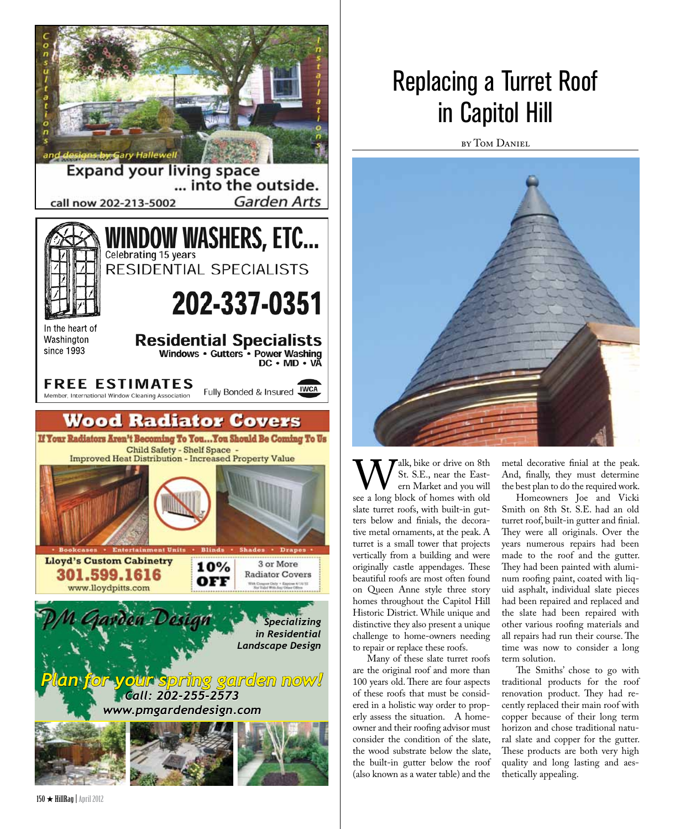

## Replacing a Turret Roof in Capitol Hill

by Tom Daniel



Walk, bike or drive on 8th<br>
ern Market and you will<br>
see a long block of homes with old St. S.E., near the Eastern Market and you will slate turret roofs, with built-in gutters below and finials, the decorative metal ornaments, at the peak. A turret is a small tower that projects vertically from a building and were originally castle appendages. These beautiful roofs are most often found on Queen Anne style three story homes throughout the Capitol Hill Historic District. While unique and distinctive they also present a unique challenge to home-owners needing to repair or replace these roofs.

Many of these slate turret roofs are the original roof and more than 100 years old. There are four aspects of these roofs that must be considered in a holistic way order to properly assess the situation. A homeowner and their roofing advisor must consider the condition of the slate, the wood substrate below the slate, the built-in gutter below the roof (also known as a water table) and the

metal decorative finial at the peak. And, finally, they must determine the best plan to do the required work.

Homeowners Joe and Vicki Smith on 8th St. S.E. had an old turret roof, built-in gutter and finial. They were all originals. Over the years numerous repairs had been made to the roof and the gutter. They had been painted with aluminum roofing paint, coated with liquid asphalt, individual slate pieces had been repaired and replaced and the slate had been repaired with other various roofing materials and all repairs had run their course. The time was now to consider a long term solution.

The Smiths' chose to go with traditional products for the roof renovation product. They had recently replaced their main roof with copper because of their long term horizon and chose traditional natural slate and copper for the gutter. These products are both very high quality and long lasting and aesthetically appealing.